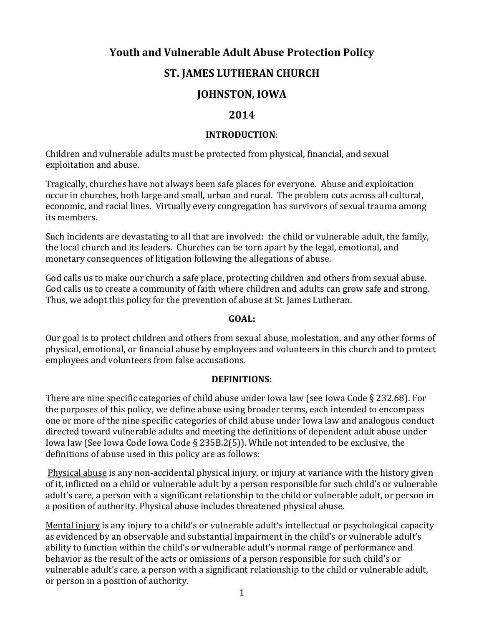# **Youth and Vulnerable Adult Abuse Protection Policy**

## **ST. JAMES LUTHERAN CHURCH**

# **JOHNSTON, IOWA**

### **2014**

#### **INTRODUCTION**:

Children and vulnerable adults must be protected from physical, financial, and sexual exploitation and abuse.

Tragically, churches have not always been safe places for everyone. Abuse and exploitation occur in churches, both large and small, urban and rural. The problem cuts across all cultural, economic, and racial lines. Virtually every congregation has survivors of sexual trauma among its members.

Such incidents are devastating to all that are involved: the child or vulnerable adult, the family, the local church and its leaders. Churches can be torn apart by the legal, emotional, and monetary consequences of litigation following the allegations of abuse.

God calls us to make our church a safe place, protecting children and others from sexual abuse. God calls us to create a community of faith where children and adults can grow safe and strong. Thus, we adopt this policy for the prevention of abuse at St. James Lutheran.

#### **GOAL:**

Our goal is to protect children and others from sexual abuse, molestation, and any other forms of physical, emotional, or financial abuse by employees and volunteers in this church and to protect employees and volunteers from false accusations.

#### **DEFINITIONS:**

There are nine specific categories of child abuse under Iowa law (see Iowa Code § 232.68). For the purposes of this policy, we define abuse using broader terms, each intended to encompass one or more of the nine specific categories of child abuse under Iowa law and analogous conduct directed toward vulnerable adults and meeting the definitions of dependent adult abuse under Iowa law (See Iowa Code Iowa Code § 235B.2(5)). While not intended to be exclusive, the definitions of abuse used in this policy are as follows:

Physical abuse is any non-accidental physical injury, or injury at variance with the history given of it, inflicted on a child or vulnerable adult by a person responsible for such child's or vulnerable adult's care, a person with a significant relationship to the child or vulnerable adult, or person in a position of authority. Physical abuse includes threatened physical abuse.

Mental injury is any injury to a child's or vulnerable adult's intellectual or psychological capacity as evidenced by an observable and substantial impairment in the child's or vulnerable adult's ability to function within the child's or vulnerable adult's normal range of performance and behavior as the result of the acts or omissions of a person responsible for such child's or vulnerable adult's care, a person with a significant relationship to the child or vulnerable adult, or person in a position of authority.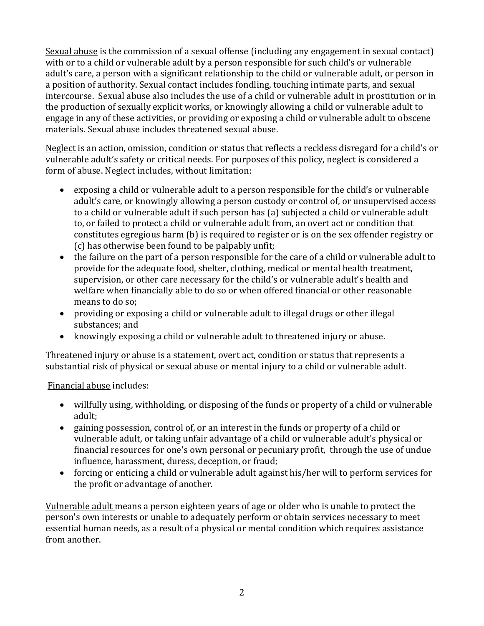Sexual abuse is the commission of a sexual offense (including any engagement in sexual contact) with or to a child or vulnerable adult by a person responsible for such child's or vulnerable adult's care, a person with a significant relationship to the child or vulnerable adult, or person in a position of authority. Sexual contact includes fondling, touching intimate parts, and sexual intercourse. Sexual abuse also includes the use of a child or vulnerable adult in prostitution or in the production of sexually explicit works, or knowingly allowing a child or vulnerable adult to engage in any of these activities, or providing or exposing a child or vulnerable adult to obscene materials. Sexual abuse includes threatened sexual abuse.

Neglect is an action, omission, condition or status that reflects a reckless disregard for a child's or vulnerable adult's safety or critical needs. For purposes of this policy, neglect is considered a form of abuse. Neglect includes, without limitation:

- exposing a child or vulnerable adult to a person responsible for the child's or vulnerable adult's care, or knowingly allowing a person custody or control of, or unsupervised access to a child or vulnerable adult if such person has (a) subjected a child or vulnerable adult to, or failed to protect a child or vulnerable adult from, an overt act or condition that constitutes egregious harm (b) is required to register or is on the sex offender registry or (c) has otherwise been found to be palpably unfit;
- the failure on the part of a person responsible for the care of a child or vulnerable adult to provide for the adequate food, shelter, clothing, medical or mental health treatment, supervision, or other care necessary for the child's or vulnerable adult's health and welfare when financially able to do so or when offered financial or other reasonable means to do so;
- providing or exposing a child or vulnerable adult to illegal drugs or other illegal substances; and
- knowingly exposing a child or vulnerable adult to threatened injury or abuse.

Threatened injury or abuse is a statement, overt act, condition or status that represents a substantial risk of physical or sexual abuse or mental injury to a child or vulnerable adult.

Financial abuse includes:

- willfully using, withholding, or disposing of the funds or property of a child or vulnerable adult;
- gaining possession, control of, or an interest in the funds or property of a child or vulnerable adult, or taking unfair advantage of a child or vulnerable adult's physical or financial resources for one's own personal or pecuniary profit, through the use of undue influence, harassment, duress, deception, or fraud;
- forcing or enticing a child or vulnerable adult against his/her will to perform services for the profit or advantage of another.

Vulnerable adult means a person eighteen years of age or older who is unable to protect the person's own interests or unable to adequately perform or obtain services necessary to meet essential human needs, as a result of a physical or mental condition which requires assistance from another.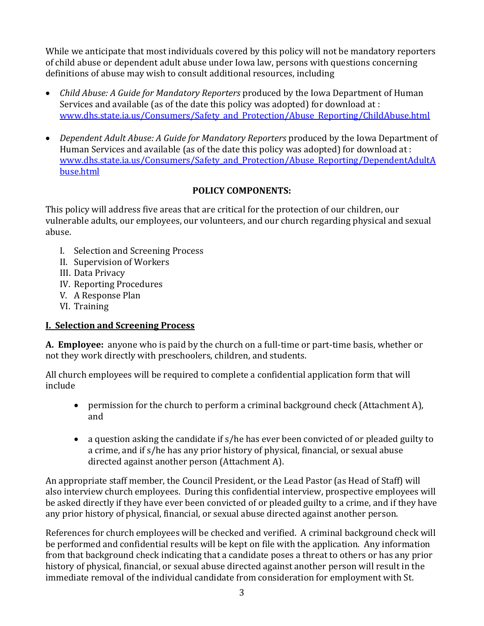While we anticipate that most individuals covered by this policy will not be mandatory reporters of child abuse or dependent adult abuse under Iowa law, persons with questions concerning definitions of abuse may wish to consult additional resources, including

- *Child Abuse: A Guide for Mandatory Reporters* produced by the Iowa Department of Human Services and available (as of the date this policy was adopted) for download at : [www.dhs.state.ia.us/Consumers/Safety\\_and\\_Protection/Abuse\\_Reporting/ChildAbuse.html](http://www.dhs.state.ia.us/Consumers/Safety_and_Protection/Abuse_Reporting/ChildAbuse.html)
- *Dependent Adult Abuse: A Guide for Mandatory Reporters* produced by the Iowa Department of Human Services and available (as of the date this policy was adopted) for download at : www.dhs.state.ia.us/Consumers/Safety and Protection/Abuse Reporting/DependentAdultA [buse.html](http://www.dhs.state.ia.us/Consumers/Safety_and_Protection/Abuse_Reporting/DependentAdultAbuse.html)

### **POLICY COMPONENTS:**

This policy will address five areas that are critical for the protection of our children, our vulnerable adults, our employees, our volunteers, and our church regarding physical and sexual abuse.

- I. Selection and Screening Process
- II. Supervision of Workers
- III. Data Privacy
- IV. Reporting Procedures
- V. A Response Plan
- VI. Training

## **I. Selection and Screening Process**

**A. Employee:** anyone who is paid by the church on a full-time or part-time basis, whether or not they work directly with preschoolers, children, and students.

All church employees will be required to complete a confidential application form that will include

- permission for the church to perform a criminal background check (Attachment A), and
- a question asking the candidate if s/he has ever been convicted of or pleaded guilty to a crime, and if s/he has any prior history of physical, financial, or sexual abuse directed against another person (Attachment A).

An appropriate staff member, the Council President, or the Lead Pastor (as Head of Staff) will also interview church employees. During this confidential interview, prospective employees will be asked directly if they have ever been convicted of or pleaded guilty to a crime, and if they have any prior history of physical, financial, or sexual abuse directed against another person.

References for church employees will be checked and verified. A criminal background check will be performed and confidential results will be kept on file with the application. Any information from that background check indicating that a candidate poses a threat to others or has any prior history of physical, financial, or sexual abuse directed against another person will result in the immediate removal of the individual candidate from consideration for employment with St.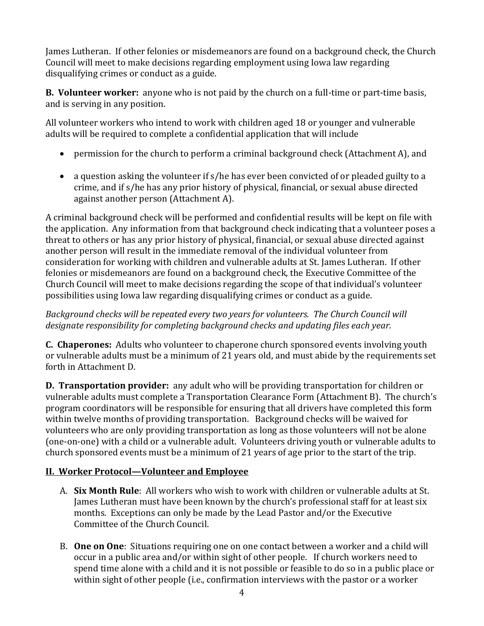James Lutheran. If other felonies or misdemeanors are found on a background check, the Church Council will meet to make decisions regarding employment using Iowa law regarding disqualifying crimes or conduct as a guide.

**B. Volunteer worker:** anyone who is not paid by the church on a full-time or part-time basis, and is serving in any position.

All volunteer workers who intend to work with children aged 18 or younger and vulnerable adults will be required to complete a confidential application that will include

- permission for the church to perform a criminal background check (Attachment A), and
- a question asking the volunteer if s/he has ever been convicted of or pleaded guilty to a crime, and if s/he has any prior history of physical, financial, or sexual abuse directed against another person (Attachment A).

A criminal background check will be performed and confidential results will be kept on file with the application. Any information from that background check indicating that a volunteer poses a threat to others or has any prior history of physical, financial, or sexual abuse directed against another person will result in the immediate removal of the individual volunteer from consideration for working with children and vulnerable adults at St. James Lutheran. If other felonies or misdemeanors are found on a background check, the Executive Committee of the Church Council will meet to make decisions regarding the scope of that individual's volunteer possibilities using Iowa law regarding disqualifying crimes or conduct as a guide.

### *Background checks will be repeated every two years for volunteers. The Church Council will designate responsibility for completing background checks and updating files each year.*

**C. Chaperones:** Adults who volunteer to chaperone church sponsored events involving youth or vulnerable adults must be a minimum of 21 years old, and must abide by the requirements set forth in Attachment D.

**D. Transportation provider:** any adult who will be providing transportation for children or vulnerable adults must complete a Transportation Clearance Form (Attachment B). The church's program coordinators will be responsible for ensuring that all drivers have completed this form within twelve months of providing transportation. Background checks will be waived for volunteers who are only providing transportation as long as those volunteers will not be alone (one-on-one) with a child or a vulnerable adult. Volunteers driving youth or vulnerable adults to church sponsored events must be a minimum of 21 years of age prior to the start of the trip.

## **II. Worker Protocol—Volunteer and Employee**

- A. **Six Month Rule**: All workers who wish to work with children or vulnerable adults at St. James Lutheran must have been known by the church's professional staff for at least six months. Exceptions can only be made by the Lead Pastor and/or the Executive Committee of the Church Council.
- B. **One on One**: Situations requiring one on one contact between a worker and a child will occur in a public area and/or within sight of other people. If church workers need to spend time alone with a child and it is not possible or feasible to do so in a public place or within sight of other people (i.e., confirmation interviews with the pastor or a worker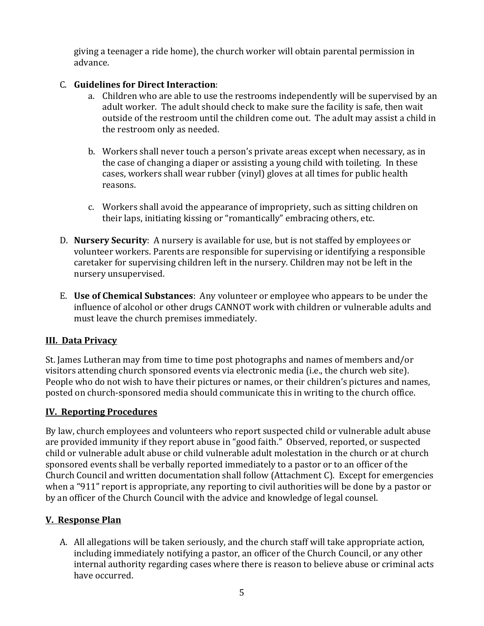giving a teenager a ride home), the church worker will obtain parental permission in advance.

### C. **Guidelines for Direct Interaction**:

- a. Children who are able to use the restrooms independently will be supervised by an adult worker. The adult should check to make sure the facility is safe, then wait outside of the restroom until the children come out. The adult may assist a child in the restroom only as needed.
- b. Workers shall never touch a person's private areas except when necessary, as in the case of changing a diaper or assisting a young child with toileting. In these cases, workers shall wear rubber (vinyl) gloves at all times for public health reasons.
- c. Workers shall avoid the appearance of impropriety, such as sitting children on their laps, initiating kissing or "romantically" embracing others, etc.
- D. **Nursery Security**: A nursery is available for use, but is not staffed by employees or volunteer workers. Parents are responsible for supervising or identifying a responsible caretaker for supervising children left in the nursery. Children may not be left in the nursery unsupervised.
- E. **Use of Chemical Substances**: Any volunteer or employee who appears to be under the influence of alcohol or other drugs CANNOT work with children or vulnerable adults and must leave the church premises immediately.

### **III. Data Privacy**

St. James Lutheran may from time to time post photographs and names of members and/or visitors attending church sponsored events via electronic media (i.e., the church web site). People who do not wish to have their pictures or names, or their children's pictures and names, posted on church-sponsored media should communicate this in writing to the church office.

### **IV. Reporting Procedures**

By law, church employees and volunteers who report suspected child or vulnerable adult abuse are provided immunity if they report abuse in "good faith." Observed, reported, or suspected child or vulnerable adult abuse or child vulnerable adult molestation in the church or at church sponsored events shall be verbally reported immediately to a pastor or to an officer of the Church Council and written documentation shall follow (Attachment C). Except for emergencies when a "911" report is appropriate, any reporting to civil authorities will be done by a pastor or by an officer of the Church Council with the advice and knowledge of legal counsel.

## **V. Response Plan**

A. All allegations will be taken seriously, and the church staff will take appropriate action, including immediately notifying a pastor, an officer of the Church Council, or any other internal authority regarding cases where there is reason to believe abuse or criminal acts have occurred.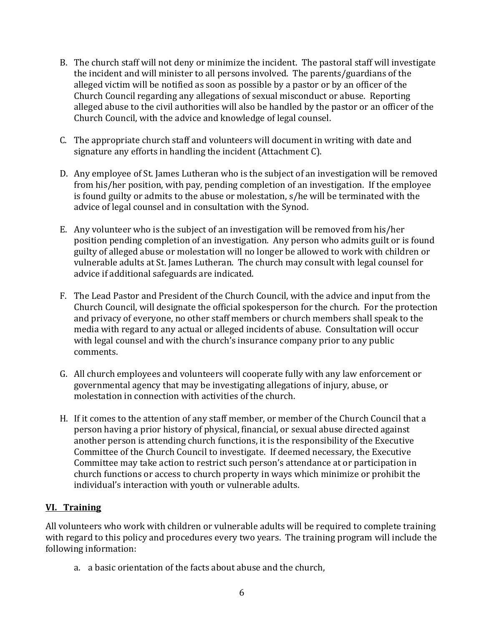- B. The church staff will not deny or minimize the incident. The pastoral staff will investigate the incident and will minister to all persons involved. The parents/guardians of the alleged victim will be notified as soon as possible by a pastor or by an officer of the Church Council regarding any allegations of sexual misconduct or abuse. Reporting alleged abuse to the civil authorities will also be handled by the pastor or an officer of the Church Council, with the advice and knowledge of legal counsel.
- C. The appropriate church staff and volunteers will document in writing with date and signature any efforts in handling the incident (Attachment C).
- D. Any employee of St. James Lutheran who is the subject of an investigation will be removed from his/her position, with pay, pending completion of an investigation. If the employee is found guilty or admits to the abuse or molestation, s/he will be terminated with the advice of legal counsel and in consultation with the Synod.
- E. Any volunteer who is the subject of an investigation will be removed from his/her position pending completion of an investigation. Any person who admits guilt or is found guilty of alleged abuse or molestation will no longer be allowed to work with children or vulnerable adults at St. James Lutheran. The church may consult with legal counsel for advice if additional safeguards are indicated.
- F. The Lead Pastor and President of the Church Council, with the advice and input from the Church Council, will designate the official spokesperson for the church. For the protection and privacy of everyone, no other staff members or church members shall speak to the media with regard to any actual or alleged incidents of abuse. Consultation will occur with legal counsel and with the church's insurance company prior to any public comments.
- G. All church employees and volunteers will cooperate fully with any law enforcement or governmental agency that may be investigating allegations of injury, abuse, or molestation in connection with activities of the church.
- H. If it comes to the attention of any staff member, or member of the Church Council that a person having a prior history of physical, financial, or sexual abuse directed against another person is attending church functions, it is the responsibility of the Executive Committee of the Church Council to investigate. If deemed necessary, the Executive Committee may take action to restrict such person's attendance at or participation in church functions or access to church property in ways which minimize or prohibit the individual's interaction with youth or vulnerable adults.

## **VI. Training**

All volunteers who work with children or vulnerable adults will be required to complete training with regard to this policy and procedures every two years. The training program will include the following information:

a. a basic orientation of the facts about abuse and the church,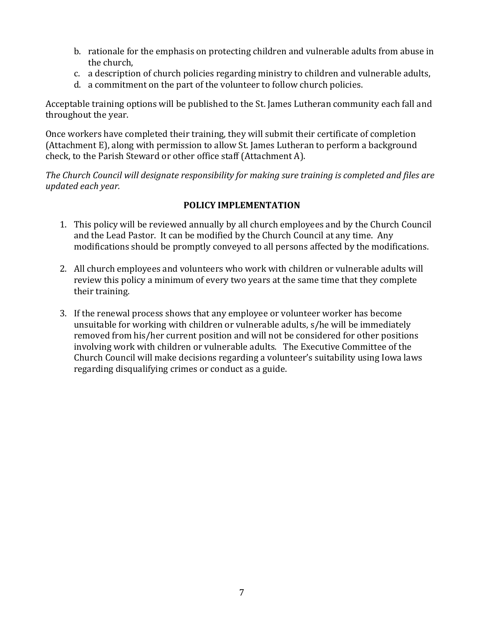- b. rationale for the emphasis on protecting children and vulnerable adults from abuse in the church,
- c. a description of church policies regarding ministry to children and vulnerable adults,
- d. a commitment on the part of the volunteer to follow church policies.

Acceptable training options will be published to the St. James Lutheran community each fall and throughout the year.

Once workers have completed their training, they will submit their certificate of completion (Attachment E), along with permission to allow St. James Lutheran to perform a background check, to the Parish Steward or other office staff (Attachment A).

*The Church Council will designate responsibility for making sure training is completed and files are updated each year.*

### **POLICY IMPLEMENTATION**

- 1. This policy will be reviewed annually by all church employees and by the Church Council and the Lead Pastor. It can be modified by the Church Council at any time. Any modifications should be promptly conveyed to all persons affected by the modifications.
- 2. All church employees and volunteers who work with children or vulnerable adults will review this policy a minimum of every two years at the same time that they complete their training.
- 3. If the renewal process shows that any employee or volunteer worker has become unsuitable for working with children or vulnerable adults, s/he will be immediately removed from his/her current position and will not be considered for other positions involving work with children or vulnerable adults. The Executive Committee of the Church Council will make decisions regarding a volunteer's suitability using Iowa laws regarding disqualifying crimes or conduct as a guide.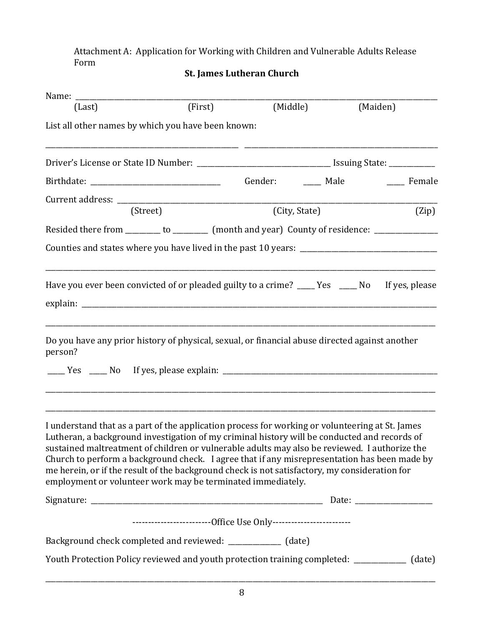Attachment A: Application for Working with Children and Vulnerable Adults Release Form

|  | <b>St. James Lutheran Church</b> |  |
|--|----------------------------------|--|
|--|----------------------------------|--|

| (Last)                                                                                                                                                                                                                                                                                                                                                                                                                                                                                                                                                           | (First)                                                              |               | (Middle) | (Maiden)                          |
|------------------------------------------------------------------------------------------------------------------------------------------------------------------------------------------------------------------------------------------------------------------------------------------------------------------------------------------------------------------------------------------------------------------------------------------------------------------------------------------------------------------------------------------------------------------|----------------------------------------------------------------------|---------------|----------|-----------------------------------|
| List all other names by which you have been known:                                                                                                                                                                                                                                                                                                                                                                                                                                                                                                               |                                                                      |               |          |                                   |
|                                                                                                                                                                                                                                                                                                                                                                                                                                                                                                                                                                  |                                                                      |               |          |                                   |
|                                                                                                                                                                                                                                                                                                                                                                                                                                                                                                                                                                  |                                                                      |               |          | Gender: ______ Male ______ Female |
|                                                                                                                                                                                                                                                                                                                                                                                                                                                                                                                                                                  | (Street)                                                             | (City, State) |          | (Zip)                             |
| Resided there from _______ to ________ (month and year) County of residence: ________________                                                                                                                                                                                                                                                                                                                                                                                                                                                                    |                                                                      |               |          |                                   |
|                                                                                                                                                                                                                                                                                                                                                                                                                                                                                                                                                                  |                                                                      |               |          |                                   |
| Have you ever been convicted of or pleaded guilty to a crime? ____ Yes ____ No If yes, please                                                                                                                                                                                                                                                                                                                                                                                                                                                                    |                                                                      |               |          |                                   |
| Do you have any prior history of physical, sexual, or financial abuse directed against another<br>person?                                                                                                                                                                                                                                                                                                                                                                                                                                                        |                                                                      |               |          |                                   |
| I understand that as a part of the application process for working or volunteering at St. James<br>Lutheran, a background investigation of my criminal history will be conducted and records of<br>sustained maltreatment of children or vulnerable adults may also be reviewed. I authorize the<br>Church to perform a background check. I agree that if any misrepresentation has been made by<br>me herein, or if the result of the background check is not satisfactory, my consideration for<br>employment or volunteer work may be terminated immediately. |                                                                      |               |          |                                   |
|                                                                                                                                                                                                                                                                                                                                                                                                                                                                                                                                                                  |                                                                      |               |          |                                   |
|                                                                                                                                                                                                                                                                                                                                                                                                                                                                                                                                                                  | ----------------------------Office Use Only------------------------- |               |          |                                   |
| Background check completed and reviewed: ____________ (date)                                                                                                                                                                                                                                                                                                                                                                                                                                                                                                     |                                                                      |               |          |                                   |
| Youth Protection Policy reviewed and youth protection training completed: _____________ (date)                                                                                                                                                                                                                                                                                                                                                                                                                                                                   |                                                                      |               |          |                                   |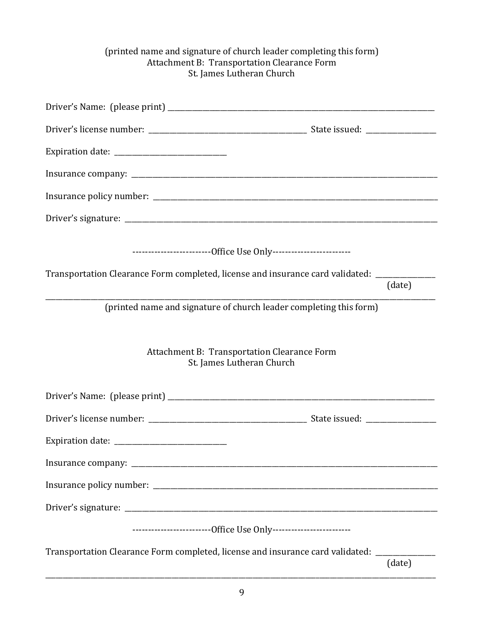#### (printed name and signature of church leader completing this form) Attachment B: Transportation Clearance Form St. James Lutheran Church

| -----------------------------Office Use Only-------------------------                               |        |
|-----------------------------------------------------------------------------------------------------|--------|
| Transportation Clearance Form completed, license and insurance card validated: ____________________ | (date) |
| (printed name and signature of church leader completing this form)                                  |        |
| Attachment B: Transportation Clearance Form<br>St. James Lutheran Church                            |        |
|                                                                                                     |        |
|                                                                                                     |        |
|                                                                                                     |        |
|                                                                                                     |        |
|                                                                                                     |        |
|                                                                                                     |        |
| -----------------------------Office Use Only-------------------------                               |        |
| Transportation Clearance Form completed, license and insurance card validated: _______________      | (date) |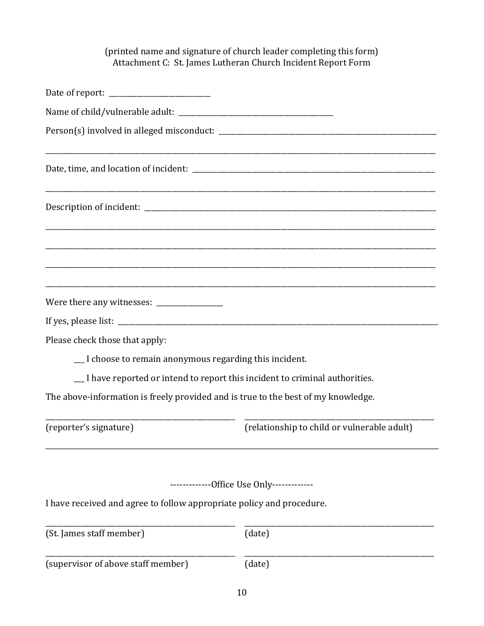### (printed name and signature of church leader completing this form) Attachment C: St. James Lutheran Church Incident Report Form

| Please check those that apply:                                                    |                                             |  |  |  |  |
|-----------------------------------------------------------------------------------|---------------------------------------------|--|--|--|--|
| _I choose to remain anonymous regarding this incident.                            |                                             |  |  |  |  |
| _ I have reported or intend to report this incident to criminal authorities.      |                                             |  |  |  |  |
| The above-information is freely provided and is true to the best of my knowledge. |                                             |  |  |  |  |
| (reporter's signature)                                                            | (relationship to child or vulnerable adult) |  |  |  |  |
|                                                                                   |                                             |  |  |  |  |
|                                                                                   | -------------Office Use Only-------------   |  |  |  |  |
| I have received and agree to follow appropriate policy and procedure.             |                                             |  |  |  |  |
| (St. James staff member)                                                          | (date)                                      |  |  |  |  |
| (supervisor of above staff member)                                                | (date)                                      |  |  |  |  |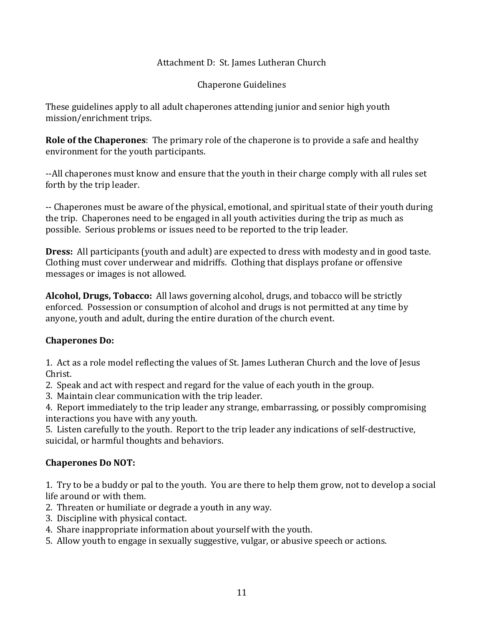#### Attachment D: St. James Lutheran Church

Chaperone Guidelines

These guidelines apply to all adult chaperones attending junior and senior high youth mission/enrichment trips.

**Role of the Chaperones**: The primary role of the chaperone is to provide a safe and healthy environment for the youth participants.

--All chaperones must know and ensure that the youth in their charge comply with all rules set forth by the trip leader.

-- Chaperones must be aware of the physical, emotional, and spiritual state of their youth during the trip. Chaperones need to be engaged in all youth activities during the trip as much as possible. Serious problems or issues need to be reported to the trip leader.

**Dress:** All participants (youth and adult) are expected to dress with modesty and in good taste. Clothing must cover underwear and midriffs. Clothing that displays profane or offensive messages or images is not allowed.

**Alcohol, Drugs, Tobacco:** All laws governing alcohol, drugs, and tobacco will be strictly enforced. Possession or consumption of alcohol and drugs is not permitted at any time by anyone, youth and adult, during the entire duration of the church event.

### **Chaperones Do:**

1. Act as a role model reflecting the values of St. James Lutheran Church and the love of Jesus Christ.

- 2. Speak and act with respect and regard for the value of each youth in the group.
- 3. Maintain clear communication with the trip leader.

4. Report immediately to the trip leader any strange, embarrassing, or possibly compromising interactions you have with any youth.

5. Listen carefully to the youth. Report to the trip leader any indications of self-destructive, suicidal, or harmful thoughts and behaviors.

### **Chaperones Do NOT:**

1. Try to be a buddy or pal to the youth. You are there to help them grow, not to develop a social life around or with them.

- 2. Threaten or humiliate or degrade a youth in any way.
- 3. Discipline with physical contact.
- 4. Share inappropriate information about yourself with the youth.
- 5. Allow youth to engage in sexually suggestive, vulgar, or abusive speech or actions.